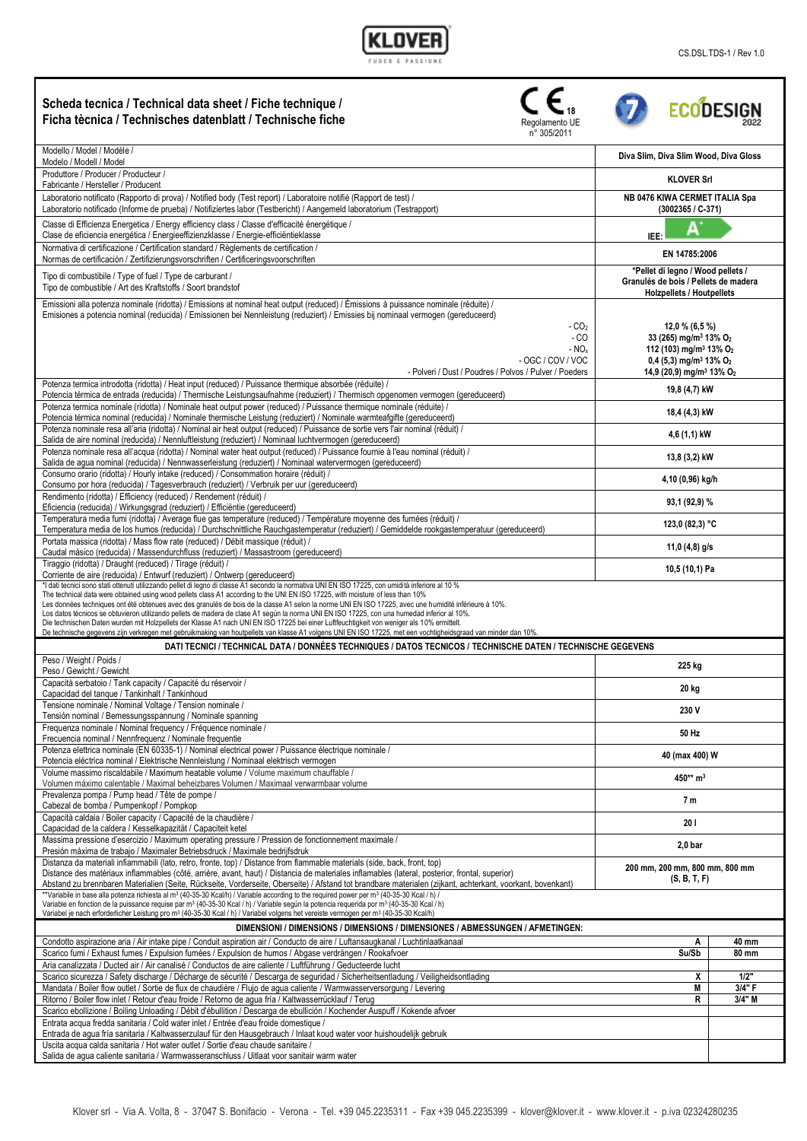## KL

| Scheda tecnica / Technical data sheet / Fiche technique /<br>Ficha tècnica / Technisches datenblatt / Technische fiche<br>Regolamento UE<br>n° 305/2011                                                                                                                                                                                                                                                                                                                                                                                                                                                                                                                                                                                               | <b>ECODESIGN</b>                                                                                                                                                                                                           |
|-------------------------------------------------------------------------------------------------------------------------------------------------------------------------------------------------------------------------------------------------------------------------------------------------------------------------------------------------------------------------------------------------------------------------------------------------------------------------------------------------------------------------------------------------------------------------------------------------------------------------------------------------------------------------------------------------------------------------------------------------------|----------------------------------------------------------------------------------------------------------------------------------------------------------------------------------------------------------------------------|
| Modello / Model / Modèle /<br>Modelo / Modell / Model                                                                                                                                                                                                                                                                                                                                                                                                                                                                                                                                                                                                                                                                                                 | Diva Slim, Diva Slim Wood, Diva Gloss                                                                                                                                                                                      |
| Produttore / Producer / Producteur /<br>Fabricante / Hersteller / Producent                                                                                                                                                                                                                                                                                                                                                                                                                                                                                                                                                                                                                                                                           | <b>KLOVER Srl</b>                                                                                                                                                                                                          |
| Laboratorio notificato (Rapporto di prova) / Notified body (Test report) / Laboratoire notifié (Rapport de test) /<br>Laboratorio notificado (Informe de prueba) / Notifiziertes labor (Testbericht) / Aangemeld laboratorium (Testrapport)                                                                                                                                                                                                                                                                                                                                                                                                                                                                                                           | NB 0476 KIWA CERMET ITALIA Spa<br>$(3002365 / C-371)$                                                                                                                                                                      |
| Classe di Efficienza Energetica / Energy efficiency class / Classe d'efficacité énergétique /<br>Clase de eficiencia energética / Energieeffizienzklasse / Energie-efficiëntieklasse                                                                                                                                                                                                                                                                                                                                                                                                                                                                                                                                                                  | A<br>IEE:                                                                                                                                                                                                                  |
| Normativa di certificazione / Certification standard / Règlements de certification /<br>Normas de certificación / Zertifizierungsvorschriften / Certificeringsvoorschriften                                                                                                                                                                                                                                                                                                                                                                                                                                                                                                                                                                           | EN 14785:2006                                                                                                                                                                                                              |
| Tipo di combustibile / Type of fuel / Type de carburant /<br>Tipo de combustible / Art des Kraftstoffs / Soort brandstof                                                                                                                                                                                                                                                                                                                                                                                                                                                                                                                                                                                                                              | *Pellet di legno / Wood pellets /<br>Granulés de bois / Pellets de madera<br><b>Holzpellets / Houtpellets</b>                                                                                                              |
| Emissioni alla potenza nominale (ridotta) / Emissions at nominal heat output (reduced) / Émissions à puissance nominale (réduite) /<br>Emisiones a potencia nominal (reducida) / Emissionen bei Nennleistung (reduziert) / Emissies bij nominaal vermogen (gereduceerd)<br>$-CO2$<br>$-CO$<br>$- NOx$<br>- OGC / COV / VOC<br>- Polveri / Dust / Poudres / Polvos / Pulver / Poeders                                                                                                                                                                                                                                                                                                                                                                  | $12,0%$ (6,5 %)<br>33 (265) mg/m <sup>3</sup> 13% O <sub>2</sub><br>112 (103) mg/m <sup>3</sup> 13% O <sub>2</sub><br>$0.4$ (5.3) mg/m <sup>3</sup> 13% O <sub>2</sub><br>14,9 (20,9) mg/m <sup>3</sup> 13% O <sub>2</sub> |
| Potenza termica introdotta (ridotta) / Heat input (reduced) / Puissance thermique absorbée (réduite) /<br>Potencia térmica de entrada (reducida) / Thermische Leistungsaufnahme (reduziert) / Thermisch opgenomen vermogen (gereduceerd)<br>Potenza termica nominale (ridotta) / Nominale heat output power (reduced) / Puissance thermique nominale (réduite) /                                                                                                                                                                                                                                                                                                                                                                                      | 19,8 (4,7) kW<br>18,4 (4,3) kW                                                                                                                                                                                             |
| Potencia térmica nominal (reducida) / Nominale thermische Leistung (reduziert) / Nominale warmteafgifte (gereduceerd)<br>Potenza nominale resa all'aria (ridotta) / Nominal air heat output (reduced) / Puissance de sortie vers l'air nominal (réduit) /                                                                                                                                                                                                                                                                                                                                                                                                                                                                                             | 4,6 (1,1) kW                                                                                                                                                                                                               |
| Salida de aire nominal (reducida) / Nennluftleistung (reduziert) / Nominaal luchtvermogen (gereduceerd)<br>Potenza nominale resa all'acqua (ridotta) / Nominal water heat output (reduced) / Puissance fournie à l'eau nominal (réduit) /<br>Salida de agua nominal (reducida) / Nennwasserleistung (reduziert) / Nominaal watervermogen (gereduceerd)                                                                                                                                                                                                                                                                                                                                                                                                | 13,8 (3,2) kW                                                                                                                                                                                                              |
| Consumo orario (ridotta) / Hourly intake (reduced) / Consommation horaire (réduit) /<br>Consumo por hora (reducida) / Tagesverbrauch (reduziert) / Verbruik per uur (gereduceerd)                                                                                                                                                                                                                                                                                                                                                                                                                                                                                                                                                                     | 4,10 (0,96) kg/h                                                                                                                                                                                                           |
| Rendimento (ridotta) / Efficiency (reduced) / Rendement (réduit) /<br>Eficiencia (reducida) / Wirkungsgrad (reduziert) / Efficiëntie (gereduceerd)                                                                                                                                                                                                                                                                                                                                                                                                                                                                                                                                                                                                    | 93,1 (92,9) %                                                                                                                                                                                                              |
| Temperatura media fumi (ridotta) / Average flue gas temperature (reduced) / Température moyenne des fumées (réduit) /<br>Temperatura media de los humos (reducida) / Durchschnittliche Rauchgastemperatur (reduziert) / Gemiddelde rookgastemperatuur (gereduceerd)                                                                                                                                                                                                                                                                                                                                                                                                                                                                                   | 123,0 (82,3) $^{\circ}$ C                                                                                                                                                                                                  |
| Portata massica (ridotta) / Mass flow rate (reduced) / Débit massique (réduit) /<br>Caudal másico (reducida) / Massendurchfluss (reduziert) / Massastroom (gereduceerd)                                                                                                                                                                                                                                                                                                                                                                                                                                                                                                                                                                               | 11,0 $(4,8)$ g/s                                                                                                                                                                                                           |
| Tiraggio (ridotta) / Draught (reduced) / Tirage (réduit) /<br>Corriente de aire (reducida) / Entwurf (reduziert) / Ontwerp (gereduceerd)<br>*I dati tecnici sono stati ottenuti utilizzando pellet di legno di classe A1 secondo la normativa UNI EN ISO 17225, con umidità inferiore al 10 %                                                                                                                                                                                                                                                                                                                                                                                                                                                         | 10,5 (10,1) Pa                                                                                                                                                                                                             |
| The technical data were obtained using wood pellets class A1 according to the UNI EN ISO 17225, with moisture of less than 10%<br>Les données techniques ont été obtenues avec des granulés de bois de la classe A1 selon la norme UNI EN ISO 17225, avec une humidité inférieure à 10%.<br>Los datos técnicos se obtuvieron utilizando pellets de madera de clase A1 según la norma UNI EN ISO 17225, con una humedad inferior al 10%.<br>Die technischen Daten wurden mit Holzpellets der Klasse A1 nach UNI EN ISO 17225 bei einer Luftfeuchtigkeit von weniger als 10% ermittelt.<br>De technische gegevens zijn verkregen met gebruikmaking van houtpellets van klasse A1 volgens UNI EN ISO 17225, met een vochtigheidsgraad van minder dan 10% |                                                                                                                                                                                                                            |
| DATI TECNICI / TECHNICAL DATA / DONNÉES TECHNIQUES / DATOS TECNICOS / TECHNISCHE DATEN / TECHNISCHE GEGEVENS<br>Peso / Weight / Poids /                                                                                                                                                                                                                                                                                                                                                                                                                                                                                                                                                                                                               |                                                                                                                                                                                                                            |
| Peso / Gewicht / Gewicht<br>Capacità serbatoio / Tank capacity / Capacité du réservoir /                                                                                                                                                                                                                                                                                                                                                                                                                                                                                                                                                                                                                                                              | 225 kg                                                                                                                                                                                                                     |
| Capacidad del tanque / Tankinhalt / Tankinhoud<br>Tensione nominale / Nominal Voltage / Tension nominale /                                                                                                                                                                                                                                                                                                                                                                                                                                                                                                                                                                                                                                            | 20 kg                                                                                                                                                                                                                      |
| Tensión nominal / Bemessungsspannung / Nominale spanning<br>Frequenza nominale / Nominal frequency / Fréquence nominale /                                                                                                                                                                                                                                                                                                                                                                                                                                                                                                                                                                                                                             | 230 V                                                                                                                                                                                                                      |
| Frecuencia nominal / Nennfrequenz / Nominale frequentie<br>Potenza elettrica nominale (EN 60335-1) / Nominal electrical power / Puissance électrique nominale /                                                                                                                                                                                                                                                                                                                                                                                                                                                                                                                                                                                       | 50 Hz                                                                                                                                                                                                                      |
| Potencia eléctrica nominal / Elektrische Nennleistung / Nominaal elektrisch vermogen<br>Volume massimo riscaldabile / Maximum heatable volume / Volume maximum chauffable /                                                                                                                                                                                                                                                                                                                                                                                                                                                                                                                                                                           | 40 (max 400) W<br>450** m <sup>3</sup>                                                                                                                                                                                     |
| Volumen máximo calentable / Maximal beheizbares Volumen / Maximaal verwarmbaar volume<br>Prevalenza pompa / Pump head / Tête de pompe /                                                                                                                                                                                                                                                                                                                                                                                                                                                                                                                                                                                                               | 7 m                                                                                                                                                                                                                        |
| Cabezal de bomba / Pumpenkopf / Pompkop<br>Capacità caldaia / Boiler capacity / Capacité de la chaudière /                                                                                                                                                                                                                                                                                                                                                                                                                                                                                                                                                                                                                                            | 201                                                                                                                                                                                                                        |
| Capacidad de la caldera / Kesselkapazität / Capaciteit ketel<br>Massima pressione d'esercizio / Maximum operating pressure / Pression de fonctionnement maximale /<br>Presión máxima de trabajo / Maximaler Betriebsdruck / Maximale bedrijfsdruk                                                                                                                                                                                                                                                                                                                                                                                                                                                                                                     | $2,0$ bar                                                                                                                                                                                                                  |
| Distanza da materiali infiammabili (lato, retro, fronte, top) / Distance from flammable materials (side, back, front, top)<br>Distance des matériaux inflammables (côté, arrière, avant, haut) / Distancia de materiales inflamables (lateral, posterior, frontal, superior)<br>Abstand zu brennbaren Materialien (Seite, Rückseite, Vorderseite, Oberseite) / Afstand tot brandbare materialen (zijkant, achterkant, voorkant, bovenkant)                                                                                                                                                                                                                                                                                                            | 200 mm, 200 mm, 800 mm, 800 mm<br>(S, B, T, F)                                                                                                                                                                             |
| **Variabile in base alla potenza richiesta al m <sup>3</sup> (40-35-30 Kcal/h) / Variable according to the required power per m <sup>3</sup> (40-35-30 Kcal / h) /<br>Variable en fonction de la puissance requise par m <sup>3</sup> (40-35-30 Kcal / h) / Variable según la potencia requerida por m <sup>3</sup> (40-35-30 Kcal / h)<br>Variabel je nach erforderlicher Leistung pro m <sup>3</sup> (40-35-30 Kcal / h) / Variabel volgens het vereiste vermogen per m <sup>3</sup> (40-35-30 Kcal/h)                                                                                                                                                                                                                                              |                                                                                                                                                                                                                            |
| DIMENSIONI / DIMENSIONS / DIMENSIONS / DIMENSIONES / ABMESSUNGEN / AFMETINGEN:                                                                                                                                                                                                                                                                                                                                                                                                                                                                                                                                                                                                                                                                        |                                                                                                                                                                                                                            |
| Condotto aspirazione aria / Air intake pipe / Conduit aspiration air / Conducto de aire / Luftansaugkanal / Luchtinlaatkanaal<br>Scarico fumi / Exhaust fumes / Expulsion fumées / Expulsion de humos / Abgase verdrängen / Rookafvoer                                                                                                                                                                                                                                                                                                                                                                                                                                                                                                                | Α<br>40 mm<br>Su/Sb<br>80 mm                                                                                                                                                                                               |
| Aria canalizzata / Ducted air / Air canalisé / Conductos de aire caliente / Luftführung / Geducteerde lucht<br>Scarico sicurezza / Safety discharge / Décharge de sécurité / Descarga de seguridad / Sicherheitsentladung / Veiligheidsontlading                                                                                                                                                                                                                                                                                                                                                                                                                                                                                                      | 1/2"<br>x                                                                                                                                                                                                                  |
| Mandata / Boiler flow outlet / Sortie de flux de chaudière / Flujo de agua caliente / Warmwasserversorgung / Levering<br>Ritorno / Boiler flow inlet / Retour d'eau froide / Retorno de agua fría / Kaltwasserrücklauf / Terug                                                                                                                                                                                                                                                                                                                                                                                                                                                                                                                        | 3/4" F<br>M<br>3/4" M<br>R                                                                                                                                                                                                 |
| Scarico ebollizione / Boiling Unloading / Débit d'ébullition / Descarga de ebullición / Kochender Auspuff / Kokende afvoer<br>Entrata acqua fredda sanitaria / Cold water inlet / Entrée d'eau froide domestique /<br>Entrada de agua fría sanitaria / Kaltwasserzulauf für den Hausgebrauch / Inlaat koud water voor huishoudelijk gebruik                                                                                                                                                                                                                                                                                                                                                                                                           |                                                                                                                                                                                                                            |
| Uscita acqua calda sanitaria / Hot water outlet / Sortie d'eau chaude sanitaire /<br>Salida de agua caliente sanitaria / Warmwasseranschluss / Uitlaat voor sanitair warm water                                                                                                                                                                                                                                                                                                                                                                                                                                                                                                                                                                       |                                                                                                                                                                                                                            |